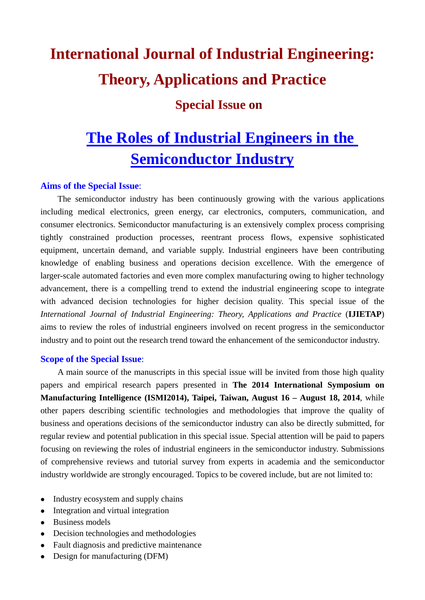# **International Journal of Industrial Engineering: Theory, Applications and Practice**

### **Special Issue on**

## **The Roles of Industrial Engineers in the Semiconductor Industry**

#### **Aims of the Special Issue**:

The semiconductor industry has been continuously growing with the various applications including medical electronics, green energy, car electronics, computers, communication, and consumer electronics. Semiconductor manufacturing is an extensively complex process comprising tightly constrained production processes, reentrant process flows, expensive sophisticated equipment, uncertain demand, and variable supply. Industrial engineers have been contributing knowledge of enabling business and operations decision excellence. With the emergence of larger-scale automated factories and even more complex manufacturing owing to higher technology advancement, there is a compelling trend to extend the industrial engineering scope to integrate with advanced decision technologies for higher decision quality. This special issue of the *International Journal of Industrial Engineering: Theory, Applications and Practice* (**IJIETAP**) aims to review the roles of industrial engineers involved on recent progress in the semiconductor industry and to point out the research trend toward the enhancement of the semiconductor industry.

#### **Scope of the Special Issue**:

A main source of the manuscripts in this special issue will be invited from those high quality papers and empirical research papers presented in **The 2014 International Symposium on Manufacturing Intelligence (ISMI2014), Taipei, Taiwan, August 16 – August 18, 2014**, while other papers describing scientific technologies and methodologies that improve the quality of business and operations decisions of the semiconductor industry can also be directly submitted, for regular review and potential publication in this special issue. Special attention will be paid to papers focusing on reviewing the roles of industrial engineers in the semiconductor industry. Submissions of comprehensive reviews and tutorial survey from experts in academia and the semiconductor industry worldwide are strongly encouraged. Topics to be covered include, but are not limited to:

- Industry ecosystem and supply chains
- Integration and virtual integration
- Business models
- Decision technologies and methodologies
- Fault diagnosis and predictive maintenance
- Design for manufacturing (DFM)